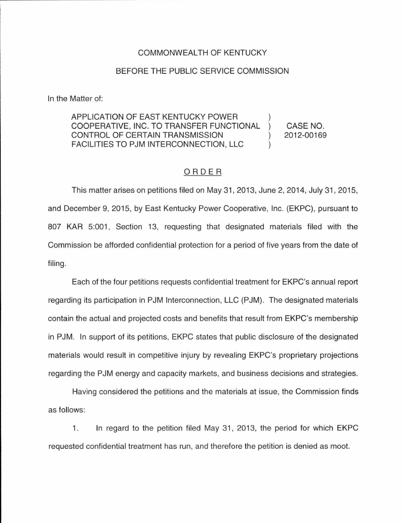## COMMONWEALTH OF KENTUCKY

## BEFORE THE PUBLIC SERVICE COMMISSION

In the Matter of:

## APPLICATION OF EAST KENTUCKY POWER COOPERATIVE, INC. TO TRANSFER FUNCTIONAL CASE NO.  $\mathcal{L}$ CONTROL OF CERTAIN TRANSMISSION 2012-00169  $\lambda$ FACILITIES TO PJM INTERCONNECTION, LLC

## ORDER

This matter arises on petitions filed on May 31, 2013, June 2, 2014, July 31, 2015, and December 9, 2015, by East Kentucky Power Cooperative, Inc. (EKPC), pursuant to 807 KAR 5:001, Section 13, requesting that designated materials filed with the Commission be afforded confidential protection for a period of five years from the date of filing.

Each of the four petitions requests confidential treatment for EKPC's annual report regarding its participation in PJM Interconnection, LLC (PJM). The designated materials contain the actual and projected costs and benefits that result from EKPC's membership in PJM. In support of its petitions, EKPC states that public disclosure of the designated materials would result in competitive injury by revealing EKPC's proprietary projections regarding the PJM energy and capacity markets, and business decisions and strategies.

Having considered the petitions and the materials at issue, the Commission finds as follows:

1. In regard to the petition filed May 31, 2013, the period for which EKPC requested confidential treatment has run, and therefore the petition is denied as moot.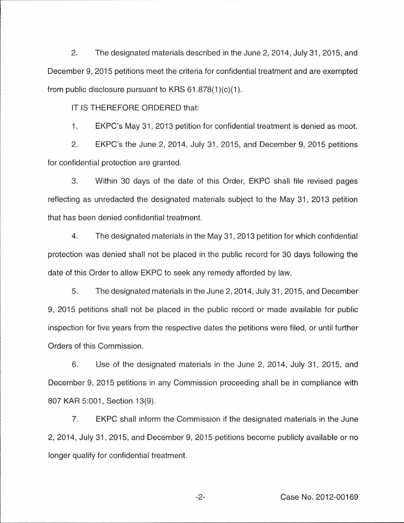2. The designated materials described in the June 2, 2014, July 31 , 2015, and December 9, 2015 petitions meet the criteria for confidential treatment and are exempted from public disclosure pursuant to KRS  $61.878(1)(c)(1)$ .

IT IS THEREFORE ORDERED that:

1. EKPC's May 31 , 2013 petition for confidential treatment is denied as moot.

2. EKPC's the June 2, 2014, July 31 , 2015, and December 9, 2015 petitions for confidential protection are granted.

3. Within 30 days of the date of this Order, EKPC shall file revised pages reflecting as unredacted the designated materials subject to the May 31, 2013 petition that has been denied confidential treatment.

4. The designated materials in the May 31 , 2013 petition for which confidential protection was denied shall not be placed in the public record for 30 days following the date of this Order to allow EKPC to seek any remedy afforded by law.

5. The designated materials in the June 2, 2014, July 31 , 2015, and December 9, 2015 petitions shall not be placed in the public record or made available for public inspection for five years from the respective dates the petitions were filed, or until further Orders of this Commission.

6. Use of the designated materials in the June 2, 2014, July 31 , 2015, and December 9, 2015 petitions in any Commission proceeding shall be in compliance with 807 KAR 5:001, Section 13(9).

7. EKPC shall inform the Commission if the designated materials in the June 2, 2014, July 31, 2015, and December 9, 2015 petitions become publicly available or no longer qualify for confidential treatment.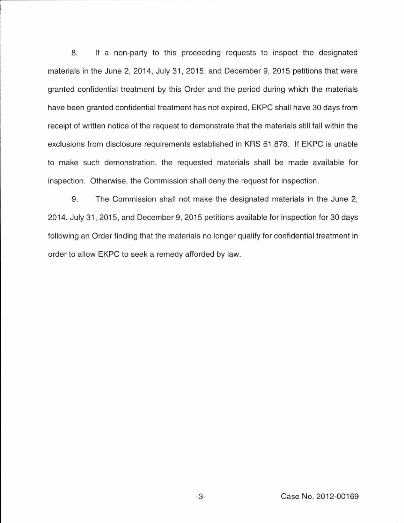8. If a non-party to this proceeding requests to inspect the designated materials in the June 2, 2014, July 31, 2015, and December 9, 2015 petitions that were granted confidential treatment by this Order and the period during which the materials have been granted confidential treatment has not expired, EKPC shall have 30 days from receipt of written notice of the request to demonstrate that the materials still fall within the exclusions from disclosure requirements established in KRS 61.878. If EKPC is unable to make such demonstration, the requested materials shall be made available for inspection. Otherwise, the Commission shall deny the request for inspection.

9. The Commission shall not make the designated materials in the June 2, 2014, July 31, 2015, and December 9, 2015 petitions available for inspection for 30 days following an Order finding that the materials no longer qualify for confidential treatment in order to allow EKPC to seek a remedy afforded by law.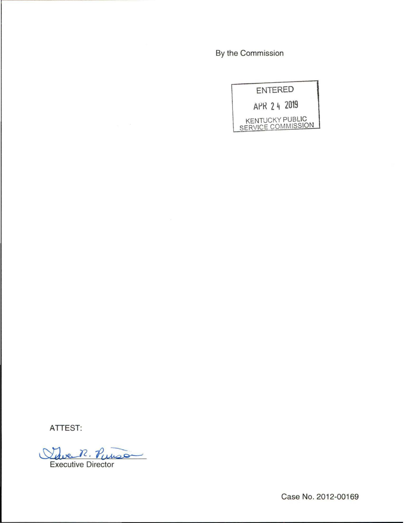By the Commission

|  | ENTERED |                                              |
|--|---------|----------------------------------------------|
|  |         | APR 2 4 2019                                 |
|  |         | <b>KENTUCKY PUBLIC</b><br>SERVICE COMMISSION |

**ATTEST:** 

Save R Tue R. Punson

Case No. 2012-00169